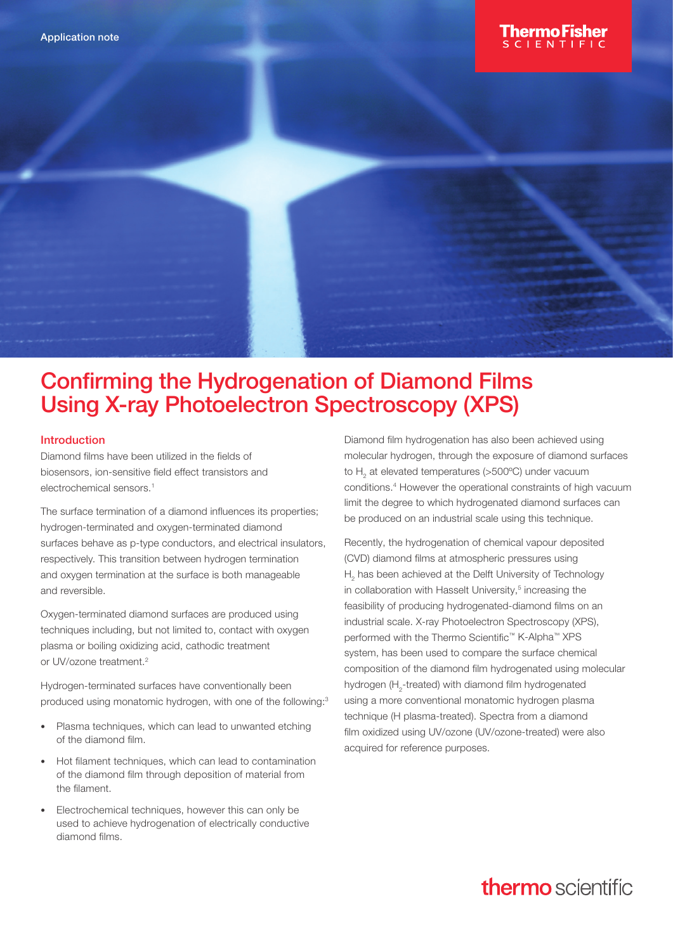

# Introduction

Diamond films have been utilized in the fields of biosensors, ion-sensitive field effect transistors and electrochemical sensors.<sup>1</sup>

The surface termination of a diamond influences its properties; hydrogen-terminated and oxygen-terminated diamond surfaces behave as p-type conductors, and electrical insulators, respectively. This transition between hydrogen termination and oxygen termination at the surface is both manageable and reversible.

Oxygen-terminated diamond surfaces are produced using techniques including, but not limited to, contact with oxygen plasma or boiling oxidizing acid, cathodic treatment or UV/ozone treatment.<sup>2</sup>

Hydrogen-terminated surfaces have conventionally been produced using monatomic hydrogen, with one of the following:<sup>3</sup>

- Plasma techniques, which can lead to unwanted etching of the diamond film.
- Hot filament techniques, which can lead to contamination of the diamond film through deposition of material from the filament.
- Electrochemical techniques, however this can only be used to achieve hydrogenation of electrically conductive diamond films.

Diamond film hydrogenation has also been achieved using molecular hydrogen, through the exposure of diamond surfaces to  $H_2$  at elevated temperatures (>500°C) under vacuum conditions.4 However the operational constraints of high vacuum limit the degree to which hydrogenated diamond surfaces can be produced on an industrial scale using this technique.

Recently, the hydrogenation of chemical vapour deposited (CVD) diamond films at atmospheric pressures using  $H<sub>2</sub>$  has been achieved at the Delft University of Technology in collaboration with Hasselt University,<sup>5</sup> increasing the feasibility of producing hydrogenated-diamond films on an industrial scale. X-ray Photoelectron Spectroscopy (XPS), performed with the Thermo Scientific™ K-Alpha™ XPS system, has been used to compare the surface chemical composition of the diamond film hydrogenated using molecular hydrogen ( $H_2$ -treated) with diamond film hydrogenated using a more conventional monatomic hydrogen plasma technique (H plasma-treated). Spectra from a diamond film oxidized using UV/ozone (UV/ozone-treated) were also acquired for reference purposes.

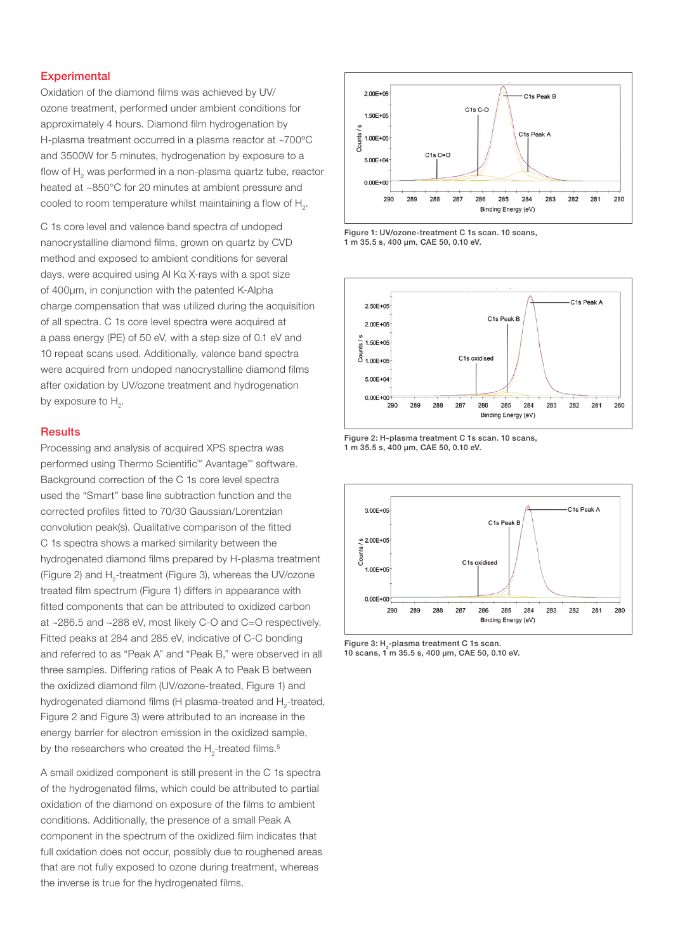# **Experimental**

Oxidation of the diamond films was achieved by UV/ ozone treatment, performed under ambient conditions for approximately 4 hours. Diamond film hydrogenation by H-plasma treatment occurred in a plasma reactor at ~700ºC and 3500W for 5 minutes, hydrogenation by exposure to a flow of  $\mathsf{H}_2$  was performed in a non-plasma quartz tube, reactor heated at ~850°C for 20 minutes at ambient pressure and cooled to room temperature whilst maintaining a flow of  $H_{2}$ .

C 1s core level and valence band spectra of undoped nanocrystalline diamond films, grown on quartz by CVD method and exposed to ambient conditions for several days, were acquired using Al Kα X-rays with a spot size of 400μm, in conjunction with the patented K-Alpha charge compensation that was utilized during the acquisition of all spectra. C 1s core level spectra were acquired at a pass energy (PE) of 50 eV, with a step size of 0.1 eV and 10 repeat scans used. Additionally, valence band spectra were acquired from undoped nanocrystalline diamond films after oxidation by UV/ozone treatment and hydrogenation by exposure to  $H_2$ .

# **Results**

Processing and analysis of acquired XPS spectra was performed using Thermo Scientific™ Avantage™ software. Background correction of the C 1s core level spectra used the "Smart" base line subtraction function and the corrected profiles fitted to 70/30 Gaussian/Lorentzian convolution peak(s). Qualitative comparison of the fitted C 1s spectra shows a marked similarity between the hydrogenated diamond films prepared by H-plasma treatment (Figure 2) and  $H_2$ -treatment (Figure 3), whereas the UV/ozone treated film spectrum (Figure 1) differs in appearance with fitted components that can be attributed to oxidized carbon at ~286.5 and ~288 eV, most likely C-O and C=O respectively. Fitted peaks at 284 and 285 eV, indicative of C-C bonding and referred to as "Peak A" and "Peak B," were observed in all three samples. Differing ratios of Peak A to Peak B between the oxidized diamond film (UV/ozone-treated, Figure 1) and hydrogenated diamond films (H plasma-treated and  $H_2$ -treated, Figure 2 and Figure 3) were attributed to an increase in the energy barrier for electron emission in the oxidized sample, by the researchers who created the  $\mathsf{H}_2$ -treated films.<sup>5</sup>

A small oxidized component is still present in the C 1s spectra of the hydrogenated films, which could be attributed to partial oxidation of the diamond on exposure of the films to ambient conditions. Additionally, the presence of a small Peak A component in the spectrum of the oxidized film indicates that full oxidation does not occur, possibly due to roughened areas that are not fully exposed to ozone during treatment, whereas the inverse is true for the hydrogenated films.











Figure 3: H<sub>2</sub>-plasma treatment C 1s scan. 10 scans, 1 m 35.5 s, 400 µm, CAE 50, 0.10 eV.